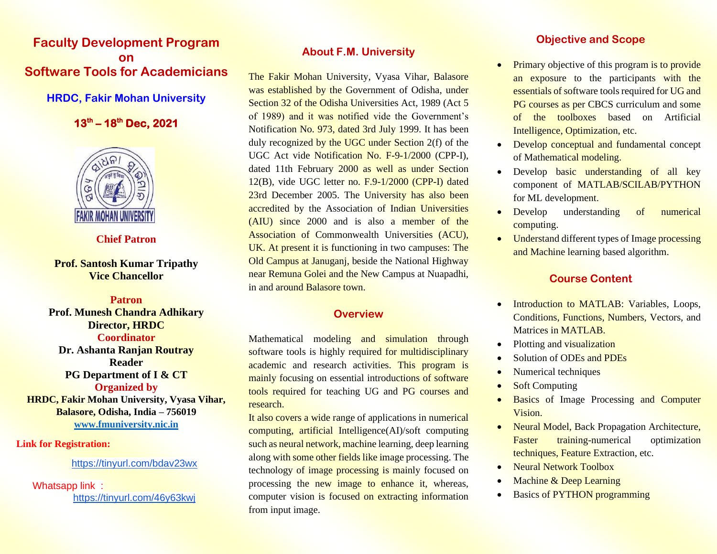## **Faculty Development Program on Software Tools for Academicians**

### **HRDC, Fakir Mohan University**

## **13 th – 18 th Dec, 2021**



#### **Chief Patron**

### **Prof. Santosh Kumar Tripathy Vice Chancellor**

**Patron Prof. Munesh Chandra Adhikary Director, HRDC Coordinator Dr. Ashanta Ranjan Routray Reader PG Department of I & CT Organized by HRDC, Fakir Mohan University, Vyasa Vihar, Balasore, Odisha, India – 756019** 

**[www.fmuniversity.nic.in](http://www.fmuniversity.nic.in/)**

#### **Link for Registration:**

#### <https://tinyurl.com/bdav23wx>

Whatsapp link : <https://tinyurl.com/46y63kwj>

## **About F.M. University**

The Fakir Mohan University, Vyasa Vihar, Balasore was established by the Government of Odisha, under Section 32 of the Odisha Universities Act, 1989 (Act 5) of 1989) and it was notified vide the Government's Notification No. 973, dated 3rd July 1999. It has been duly recognized by the UGC under Section  $2(f)$  of the UGC Act vide Notification No. F-9-1/2000 (CPP-I), dated 11th February 2000 as well as under Section 12(B), vide UGC letter no. F.9-1/2000 (CPP-I) dated 23rd December 2005. The University has also been accredited by the Association of Indian Universities (AIU) since 2000 and is also a member of the Association of Commonwealth Universities (ACU), UK. At present it is functioning in two campuses: The Old Campus at Januganj, beside the National Highway near Remuna Golei and the New Campus at Nuapadhi, in and around Balasore town.

### **Overview**

Mathematical modeling and simulation through software tools is highly required for multidisciplinary academic and research activities. This program is mainly focusing on essential introductions of software tools required for teaching UG and PG courses and research.

It also covers a wide range of applications in numerical computing, artificial Intelligence(AI)/soft computing such as neural network, machine learning, deep learning along with some other fields like image processing. The technology of image processing is mainly focused on processing the new image to enhance it, whereas, computer vision is focused on extracting information from input image.

## **Objective and Scope**

- **Primary objective of this program is to provide** an exposure to the participants with the essentials of software tools required for UG and PG courses as per CBCS curriculum and some of the toolboxes based on Artificial Intelligence, Optimization, etc.
- Develop conceptual and fundamental concept of Mathematical modeling.
- Develop basic understanding of all key component of MATLAB/SCILAB/PYTHON for ML development.
- Develop understanding of numerical computing.
- Understand different types of Image processing and Machine learning based algorithm.

## **Course Content**

- Introduction to MATLAB: Variables, Loops, Conditions, Functions, Numbers, Vectors, and Matrices in MATLAB.
- Plotting and visualization
- Solution of ODEs and PDEs
- Numerical techniques
- **Soft Computing**
- Basics of Image Processing and Computer Vision.
- Neural Model, Back Propagation Architecture, Faster training-numerical optimization techniques, Feature Extraction, etc.
- Neural Network Toolbox
- Machine & Deep Learning
- **Basics of PYTHON programming**